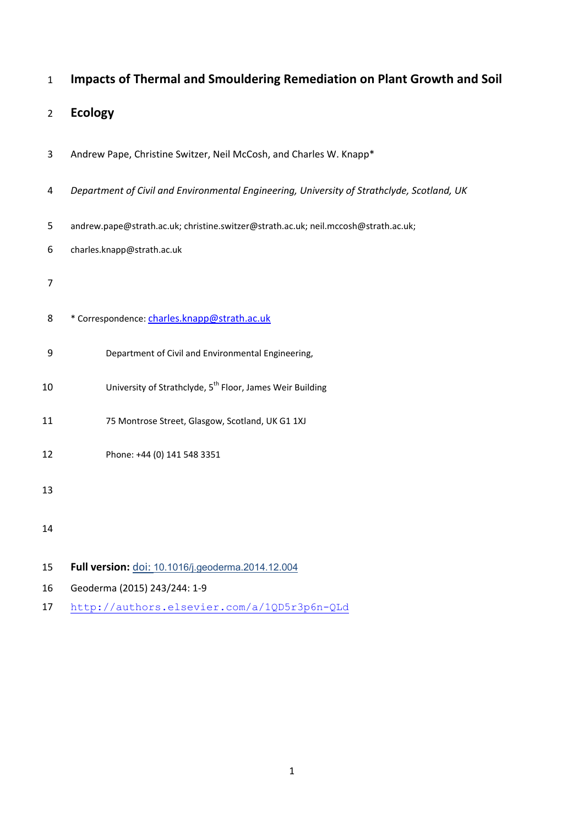| $\mathbf{1}$   | Impacts of Thermal and Smouldering Remediation on Plant Growth and Soil                    |
|----------------|--------------------------------------------------------------------------------------------|
| $\overline{2}$ | <b>Ecology</b>                                                                             |
| 3              | Andrew Pape, Christine Switzer, Neil McCosh, and Charles W. Knapp*                         |
| 4              | Department of Civil and Environmental Engineering, University of Strathclyde, Scotland, UK |
| 5              | andrew.pape@strath.ac.uk; christine.switzer@strath.ac.uk; neil.mccosh@strath.ac.uk;        |
| 6              | charles.knapp@strath.ac.uk                                                                 |
| 7              |                                                                                            |
| 8              | * Correspondence: charles.knapp@strath.ac.uk                                               |
| 9              | Department of Civil and Environmental Engineering,                                         |
| 10             | University of Strathclyde, 5 <sup>th</sup> Floor, James Weir Building                      |
| 11             | 75 Montrose Street, Glasgow, Scotland, UK G1 1XJ                                           |
| 12             | Phone: +44 (0) 141 548 3351                                                                |
| 13             |                                                                                            |
| 14             |                                                                                            |
| 15             | Full version: doi: 10.1016/j.geoderma.2014.12.004                                          |
| 16             | Geoderma (2015) 243/244: 1-9                                                               |
| 17             | http://authors.elsevier.com/a/1QD5r3p6n-QLd                                                |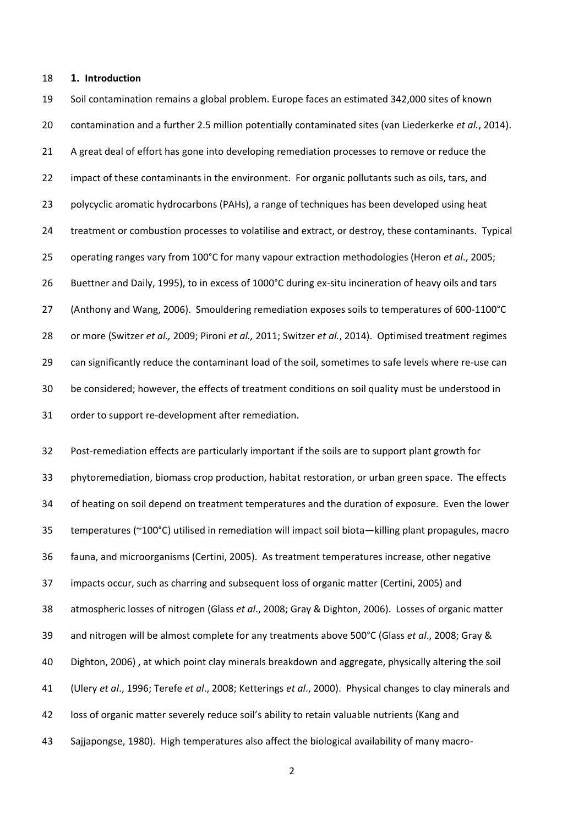# **1. Introduction**

 Soil contamination remains a global problem. Europe faces an estimated 342,000 sites of known contamination and a further 2.5 million potentially contaminated sites (van Liederkerke *et al.*, 2014). A great deal of effort has gone into developing remediation processes to remove or reduce the 22 impact of these contaminants in the environment. For organic pollutants such as oils, tars, and polycyclic aromatic hydrocarbons (PAHs), a range of techniques has been developed using heat treatment or combustion processes to volatilise and extract, or destroy, these contaminants. Typical operating ranges vary from 100°C for many vapour extraction methodologies (Heron *et al*., 2005; 26 Buettner and Daily, 1995), to in excess of 1000°C during ex-situ incineration of heavy oils and tars (Anthony and Wang, 2006). Smouldering remediation exposes soils to temperatures of 600-1100°C or more (Switzer *et al.,* 2009; Pironi *et al.,* 2011; Switzer *et al.*, 2014). Optimised treatment regimes can significantly reduce the contaminant load of the soil, sometimes to safe levels where re-use can be considered; however, the effects of treatment conditions on soil quality must be understood in order to support re-development after remediation.

 Post-remediation effects are particularly important if the soils are to support plant growth for phytoremediation, biomass crop production, habitat restoration, or urban green space. The effects of heating on soil depend on treatment temperatures and the duration of exposure. Even the lower temperatures (~100°C) utilised in remediation will impact soil biota—killing plant propagules, macro fauna, and microorganisms (Certini, 2005). As treatment temperatures increase, other negative impacts occur, such as charring and subsequent loss of organic matter (Certini, 2005) and atmospheric losses of nitrogen (Glass *et al*., 2008; Gray & Dighton, 2006). Losses of organic matter and nitrogen will be almost complete for any treatments above 500°C (Glass *et al*., 2008; Gray & Dighton, 2006) , at which point clay minerals breakdown and aggregate, physically altering the soil (Ulery *et al*., 1996; Terefe *et al*., 2008; Ketterings *et al*., 2000). Physical changes to clay minerals and loss of organic matter severely reduce soil's ability to retain valuable nutrients (Kang and Sajjapongse, 1980). High temperatures also affect the biological availability of many macro-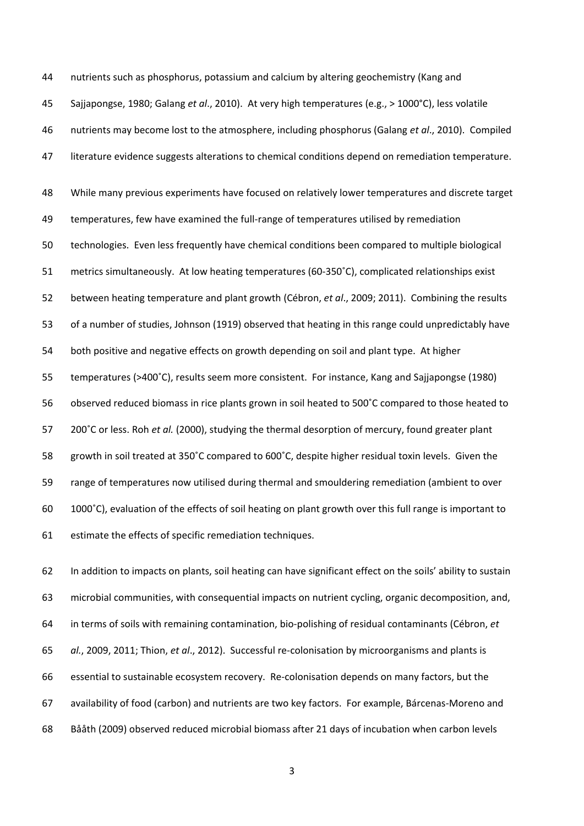nutrients such as phosphorus, potassium and calcium by altering geochemistry (Kang and Sajjapongse, 1980; Galang *et al*., 2010). At very high temperatures (e.g., > 1000°C), less volatile nutrients may become lost to the atmosphere, including phosphorus (Galang *et al*., 2010). Compiled literature evidence suggests alterations to chemical conditions depend on remediation temperature.

 While many previous experiments have focused on relatively lower temperatures and discrete target temperatures, few have examined the full-range of temperatures utilised by remediation technologies. Even less frequently have chemical conditions been compared to multiple biological metrics simultaneously. At low heating temperatures (60-350˚C), complicated relationships exist between heating temperature and plant growth (Cébron, *et al*., 2009; 2011). Combining the results of a number of studies, Johnson (1919) observed that heating in this range could unpredictably have both positive and negative effects on growth depending on soil and plant type. At higher temperatures (>400˚C), results seem more consistent. For instance, Kang and Sajjapongse (1980) observed reduced biomass in rice plants grown in soil heated to 500˚C compared to those heated to 200˚C or less. Roh *et al.* (2000), studying the thermal desorption of mercury, found greater plant growth in soil treated at 350˚C compared to 600˚C, despite higher residual toxin levels. Given the range of temperatures now utilised during thermal and smouldering remediation (ambient to over 1000˚C), evaluation of the effects of soil heating on plant growth over this full range is important to estimate the effects of specific remediation techniques.

 In addition to impacts on plants, soil heating can have significant effect on the soils' ability to sustain microbial communities, with consequential impacts on nutrient cycling, organic decomposition, and, in terms of soils with remaining contamination, bio-polishing of residual contaminants (Cébron, *et al.*, 2009, 2011; Thion, *et al*., 2012). Successful re-colonisation by microorganisms and plants is essential to sustainable ecosystem recovery. Re-colonisation depends on many factors, but the availability of food (carbon) and nutrients are two key factors. For example, Bárcenas-Moreno and Bååth (2009) observed reduced microbial biomass after 21 days of incubation when carbon levels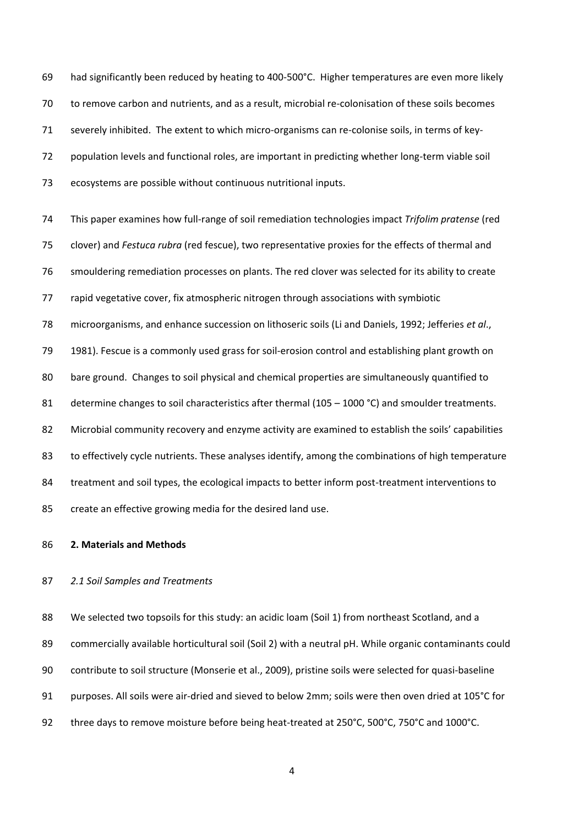had significantly been reduced by heating to 400-500°C. Higher temperatures are even more likely to remove carbon and nutrients, and as a result, microbial re-colonisation of these soils becomes severely inhibited. The extent to which micro-organisms can re-colonise soils, in terms of key- population levels and functional roles, are important in predicting whether long-term viable soil ecosystems are possible without continuous nutritional inputs.

 This paper examines how full-range of soil remediation technologies impact *Trifolim pratense* (red clover) and *Festuca rubra* (red fescue), two representative proxies for the effects of thermal and smouldering remediation processes on plants. The red clover was selected for its ability to create rapid vegetative cover, fix atmospheric nitrogen through associations with symbiotic microorganisms, and enhance succession on lithoseric soils (Li and Daniels, 1992; Jefferies *et al*.,

 1981). Fescue is a commonly used grass for soil-erosion control and establishing plant growth on bare ground. Changes to soil physical and chemical properties are simultaneously quantified to 81 determine changes to soil characteristics after thermal (105 – 1000 °C) and smoulder treatments. Microbial community recovery and enzyme activity are examined to establish the soils' capabilities to effectively cycle nutrients. These analyses identify, among the combinations of high temperature 84 treatment and soil types, the ecological impacts to better inform post-treatment interventions to create an effective growing media for the desired land use.

#### **2. Materials and Methods**

# *2.1 Soil Samples and Treatments*

 We selected two topsoils for this study: an acidic loam (Soil 1) from northeast Scotland, and a 89 commercially available horticultural soil (Soil 2) with a neutral pH. While organic contaminants could contribute to soil structure (Monserie et al., 2009), pristine soils were selected for quasi-baseline purposes. All soils were air-dried and sieved to below 2mm; soils were then oven dried at 105°C for 92 three days to remove moisture before being heat-treated at 250°C, 500°C, 750°C and 1000°C.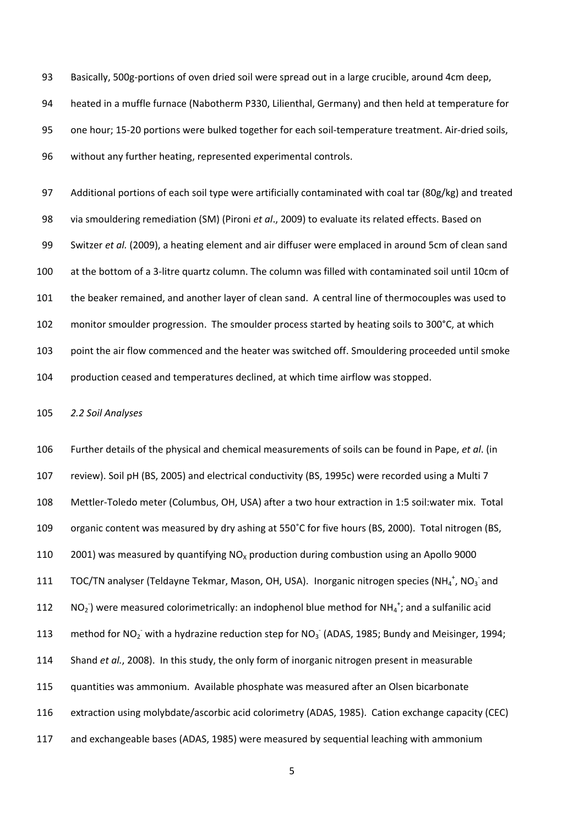Basically, 500g-portions of oven dried soil were spread out in a large crucible, around 4cm deep, heated in a muffle furnace (Nabotherm P330, Lilienthal, Germany) and then held at temperature for one hour; 15-20 portions were bulked together for each soil-temperature treatment. Air-dried soils, without any further heating, represented experimental controls.

97 Additional portions of each soil type were artificially contaminated with coal tar (80g/kg) and treated via smouldering remediation (SM) (Pironi *et al*., 2009) to evaluate its related effects. Based on Switzer *et al.* (2009), a heating element and air diffuser were emplaced in around 5cm of clean sand at the bottom of a 3-litre quartz column. The column was filled with contaminated soil until 10cm of the beaker remained, and another layer of clean sand. A central line of thermocouples was used to monitor smoulder progression. The smoulder process started by heating soils to 300°C, at which point the air flow commenced and the heater was switched off. Smouldering proceeded until smoke production ceased and temperatures declined, at which time airflow was stopped.

*2.2 Soil Analyses*

 Further details of the physical and chemical measurements of soils can be found in Pape, *et al*. (in review). Soil pH (BS, 2005) and electrical conductivity (BS, 1995c) were recorded using a Multi 7 Mettler-Toledo meter (Columbus, OH, USA) after a two hour extraction in 1:5 soil:water mix. Total organic content was measured by dry ashing at 550˚C for five hours (BS, 2000). Total nitrogen (BS, 110 2001) was measured by quantifying  $NO<sub>x</sub>$  production during combustion using an Apollo 9000 111 TOC/TN analyser (Teldayne Tekmar, Mason, OH, USA). Inorganic nitrogen species (NH<sub>4</sub><sup>+</sup>, NO<sub>3</sub><sup>-</sup>and  $NO<sub>2</sub>$ ) were measured colorimetrically: an indophenol blue method for NH<sub>4</sub><sup>+</sup>; and a sulfanilic acid 113 method for NO<sub>2</sub> with a hydrazine reduction step for NO<sub>3</sub> (ADAS, 1985; Bundy and Meisinger, 1994; Shand *et al.*, 2008). In this study, the only form of inorganic nitrogen present in measurable quantities was ammonium. Available phosphate was measured after an Olsen bicarbonate extraction using molybdate/ascorbic acid colorimetry (ADAS, 1985). Cation exchange capacity (CEC) and exchangeable bases (ADAS, 1985) were measured by sequential leaching with ammonium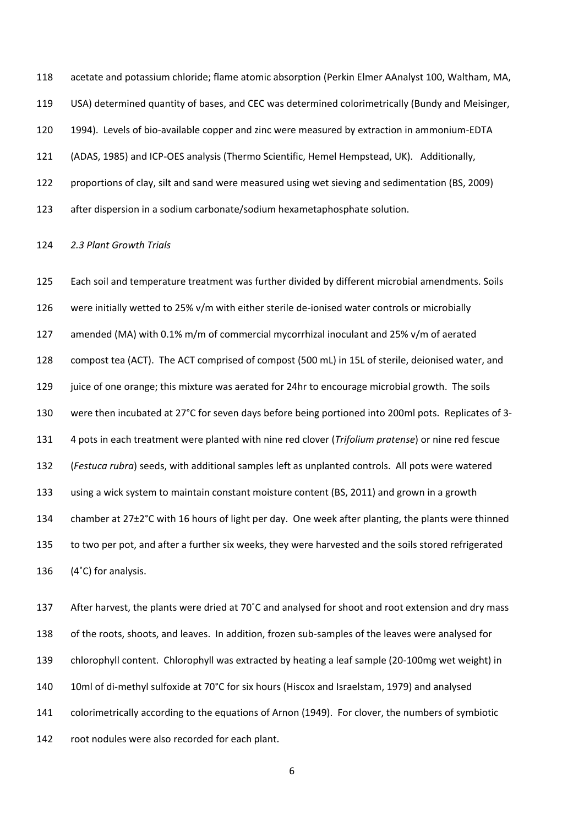acetate and potassium chloride; flame atomic absorption (Perkin Elmer AAnalyst 100, Waltham, MA, USA) determined quantity of bases, and CEC was determined colorimetrically (Bundy and Meisinger, 1994). Levels of bio-available copper and zinc were measured by extraction in ammonium-EDTA (ADAS, 1985) and ICP-OES analysis (Thermo Scientific, Hemel Hempstead, UK). Additionally, proportions of clay, silt and sand were measured using wet sieving and sedimentation (BS, 2009) after dispersion in a sodium carbonate/sodium hexametaphosphate solution.

#### *2.3 Plant Growth Trials*

 Each soil and temperature treatment was further divided by different microbial amendments. Soils were initially wetted to 25% v/m with either sterile de-ionised water controls or microbially amended (MA) with 0.1% m/m of commercial mycorrhizal inoculant and 25% v/m of aerated compost tea (ACT). The ACT comprised of compost (500 mL) in 15L of sterile, deionised water, and 129 juice of one orange; this mixture was aerated for 24hr to encourage microbial growth. The soils were then incubated at 27°C for seven days before being portioned into 200ml pots. Replicates of 3- 4 pots in each treatment were planted with nine red clover (*Trifolium pratense*) or nine red fescue (*Festuca rubra*) seeds, with additional samples left as unplanted controls. All pots were watered using a wick system to maintain constant moisture content (BS, 2011) and grown in a growth chamber at 27±2°C with 16 hours of light per day. One week after planting, the plants were thinned to two per pot, and after a further six weeks, they were harvested and the soils stored refrigerated (4˚C) for analysis.

137 After harvest, the plants were dried at 70°C and analysed for shoot and root extension and dry mass of the roots, shoots, and leaves. In addition, frozen sub-samples of the leaves were analysed for chlorophyll content. Chlorophyll was extracted by heating a leaf sample (20-100mg wet weight) in 10ml of di-methyl sulfoxide at 70°C for six hours (Hiscox and Israelstam, 1979) and analysed colorimetrically according to the equations of Arnon (1949). For clover, the numbers of symbiotic root nodules were also recorded for each plant.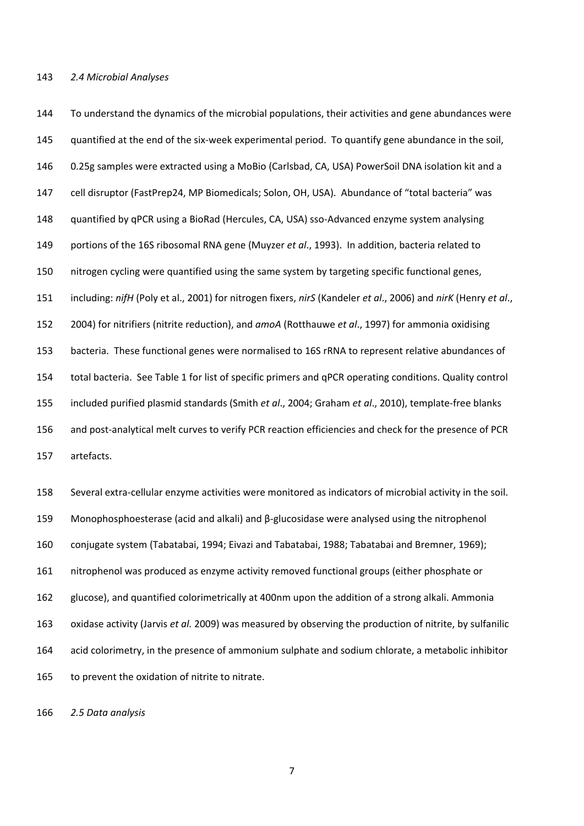To understand the dynamics of the microbial populations, their activities and gene abundances were quantified at the end of the six-week experimental period. To quantify gene abundance in the soil, 0.25g samples were extracted using a MoBio (Carlsbad, CA, USA) PowerSoil DNA isolation kit and a cell disruptor (FastPrep24, MP Biomedicals; Solon, OH, USA). Abundance of "total bacteria" was quantified by qPCR using a BioRad (Hercules, CA, USA) sso-Advanced enzyme system analysing portions of the 16S ribosomal RNA gene (Muyzer *et al*., 1993). In addition, bacteria related to nitrogen cycling were quantified using the same system by targeting specific functional genes, including: *nifH* (Poly et al., 2001) for nitrogen fixers, *nirS* (Kandeler *et al*., 2006) and *nirK* (Henry *et al*., 2004) for nitrifiers (nitrite reduction), and *amoA* (Rotthauwe *et al*., 1997) for ammonia oxidising bacteria. These functional genes were normalised to 16S rRNA to represent relative abundances of total bacteria. See Table 1 for list of specific primers and qPCR operating conditions. Quality control included purified plasmid standards (Smith *et al*., 2004; Graham *et al*., 2010), template-free blanks and post-analytical melt curves to verify PCR reaction efficiencies and check for the presence of PCR artefacts.

 Several extra-cellular enzyme activities were monitored as indicators of microbial activity in the soil. Monophosphoesterase (acid and alkali) and β-glucosidase were analysed using the nitrophenol conjugate system (Tabatabai, 1994; Eivazi and Tabatabai, 1988; Tabatabai and Bremner, 1969); nitrophenol was produced as enzyme activity removed functional groups (either phosphate or glucose), and quantified colorimetrically at 400nm upon the addition of a strong alkali. Ammonia oxidase activity (Jarvis *et al.* 2009) was measured by observing the production of nitrite, by sulfanilic acid colorimetry, in the presence of ammonium sulphate and sodium chlorate, a metabolic inhibitor to prevent the oxidation of nitrite to nitrate.

*2.5 Data analysis*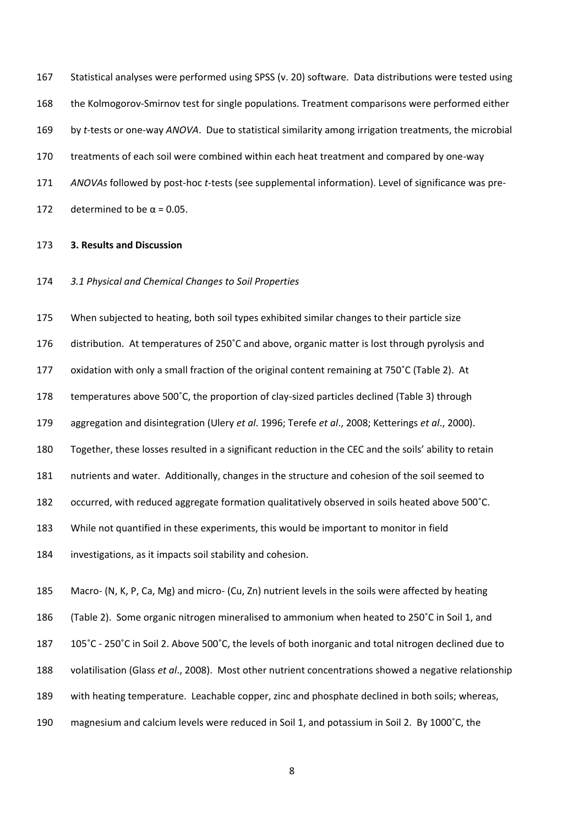Statistical analyses were performed using SPSS (v. 20) software. Data distributions were tested using the Kolmogorov-Smirnov test for single populations. Treatment comparisons were performed either by *t*-tests or one-way *ANOVA*. Due to statistical similarity among irrigation treatments, the microbial treatments of each soil were combined within each heat treatment and compared by one-way *ANOVAs* followed by post-hoc *t*-tests (see supplemental information). Level of significance was pre-172 determined to be  $\alpha$  = 0.05.

# **3. Results and Discussion**

*3.1 Physical and Chemical Changes to Soil Properties*

 When subjected to heating, both soil types exhibited similar changes to their particle size distribution. At temperatures of 250˚C and above, organic matter is lost through pyrolysis and oxidation with only a small fraction of the original content remaining at 750˚C (Table 2). At temperatures above 500˚C, the proportion of clay-sized particles declined (Table 3) through aggregation and disintegration (Ulery *et al*. 1996; Terefe *et al*., 2008; Ketterings *et al*., 2000). Together, these losses resulted in a significant reduction in the CEC and the soils' ability to retain nutrients and water. Additionally, changes in the structure and cohesion of the soil seemed to occurred, with reduced aggregate formation qualitatively observed in soils heated above 500˚C. While not quantified in these experiments, this would be important to monitor in field investigations, as it impacts soil stability and cohesion.

 Macro- (N, K, P, Ca, Mg) and micro- (Cu, Zn) nutrient levels in the soils were affected by heating (Table 2). Some organic nitrogen mineralised to ammonium when heated to 250˚C in Soil 1, and 105˚C - 250˚C in Soil 2. Above 500˚C, the levels of both inorganic and total nitrogen declined due to volatilisation (Glass *et al*., 2008). Most other nutrient concentrations showed a negative relationship with heating temperature. Leachable copper, zinc and phosphate declined in both soils; whereas, magnesium and calcium levels were reduced in Soil 1, and potassium in Soil 2. By 1000˚C, the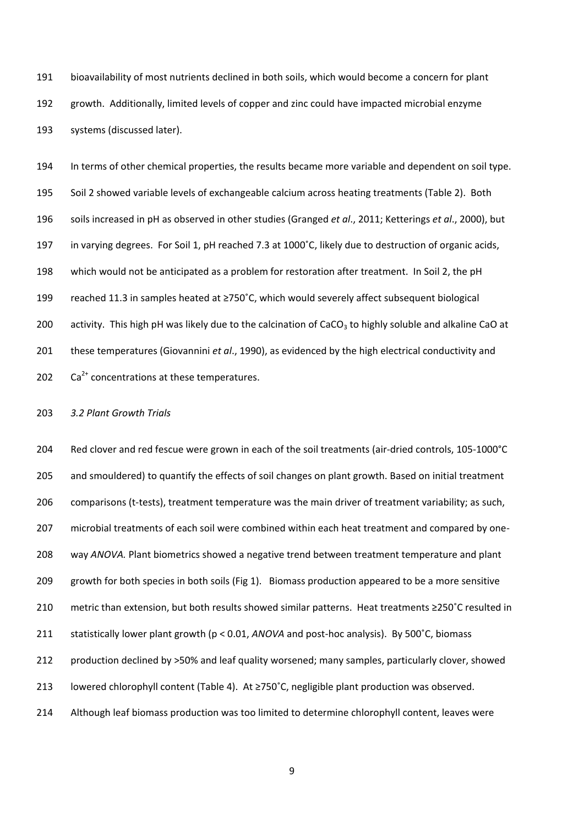bioavailability of most nutrients declined in both soils, which would become a concern for plant growth. Additionally, limited levels of copper and zinc could have impacted microbial enzyme systems (discussed later).

 In terms of other chemical properties, the results became more variable and dependent on soil type. Soil 2 showed variable levels of exchangeable calcium across heating treatments (Table 2). Both soils increased in pH as observed in other studies (Granged *et al*., 2011; Ketterings *et al*., 2000), but in varying degrees. For Soil 1, pH reached 7.3 at 1000˚C, likely due to destruction of organic acids, which would not be anticipated as a problem for restoration after treatment. In Soil 2, the pH reached 11.3 in samples heated at ≥750˚C, which would severely affect subsequent biological 200 activity. This high pH was likely due to the calcination of CaCO<sub>3</sub> to highly soluble and alkaline CaO at these temperatures (Giovannini *et al*., 1990), as evidenced by the high electrical conductivity and  $Ca^{2+}$  concentrations at these temperatures.

# *3.2 Plant Growth Trials*

 Red clover and red fescue were grown in each of the soil treatments (air-dried controls, 105-1000°C and smouldered) to quantify the effects of soil changes on plant growth. Based on initial treatment comparisons (t-tests), treatment temperature was the main driver of treatment variability; as such, microbial treatments of each soil were combined within each heat treatment and compared by one- way *ANOVA.* Plant biometrics showed a negative trend between treatment temperature and plant growth for both species in both soils (Fig 1). Biomass production appeared to be a more sensitive metric than extension, but both results showed similar patterns. Heat treatments ≥250˚C resulted in statistically lower plant growth (p < 0.01, *ANOVA* and post-hoc analysis). By 500˚C, biomass production declined by >50% and leaf quality worsened; many samples, particularly clover, showed lowered chlorophyll content (Table 4). At ≥750˚C, negligible plant production was observed. 214 Although leaf biomass production was too limited to determine chlorophyll content, leaves were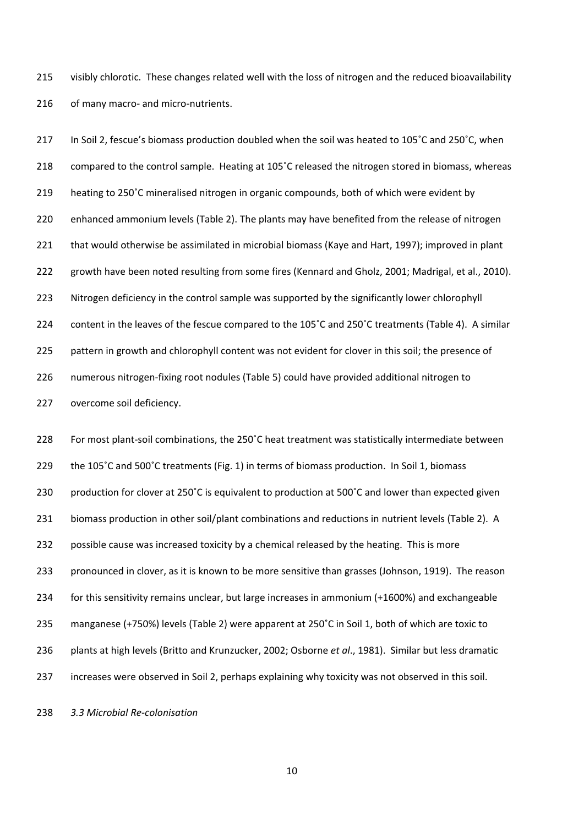visibly chlorotic. These changes related well with the loss of nitrogen and the reduced bioavailability 216 of many macro- and micro-nutrients.

217 In Soil 2, fescue's biomass production doubled when the soil was heated to 105°C and 250°C, when compared to the control sample. Heating at 105˚C released the nitrogen stored in biomass, whereas heating to 250˚C mineralised nitrogen in organic compounds, both of which were evident by enhanced ammonium levels (Table 2). The plants may have benefited from the release of nitrogen that would otherwise be assimilated in microbial biomass (Kaye and Hart, 1997); improved in plant growth have been noted resulting from some fires (Kennard and Gholz, 2001; Madrigal, et al., 2010). 223 Nitrogen deficiency in the control sample was supported by the significantly lower chlorophyll content in the leaves of the fescue compared to the 105˚C and 250˚C treatments (Table 4). A similar 225 pattern in growth and chlorophyll content was not evident for clover in this soil; the presence of numerous nitrogen-fixing root nodules (Table 5) could have provided additional nitrogen to overcome soil deficiency.

 For most plant-soil combinations, the 250˚C heat treatment was statistically intermediate between the 105˚C and 500˚C treatments (Fig. 1) in terms of biomass production. In Soil 1, biomass production for clover at 250˚C is equivalent to production at 500˚C and lower than expected given biomass production in other soil/plant combinations and reductions in nutrient levels (Table 2). A 232 possible cause was increased toxicity by a chemical released by the heating. This is more pronounced in clover, as it is known to be more sensitive than grasses (Johnson, 1919). The reason for this sensitivity remains unclear, but large increases in ammonium (+1600%) and exchangeable manganese (+750%) levels (Table 2) were apparent at 250˚C in Soil 1, both of which are toxic to plants at high levels (Britto and Krunzucker, 2002; Osborne *et al*., 1981). Similar but less dramatic increases were observed in Soil 2, perhaps explaining why toxicity was not observed in this soil.

*3.3 Microbial Re-colonisation*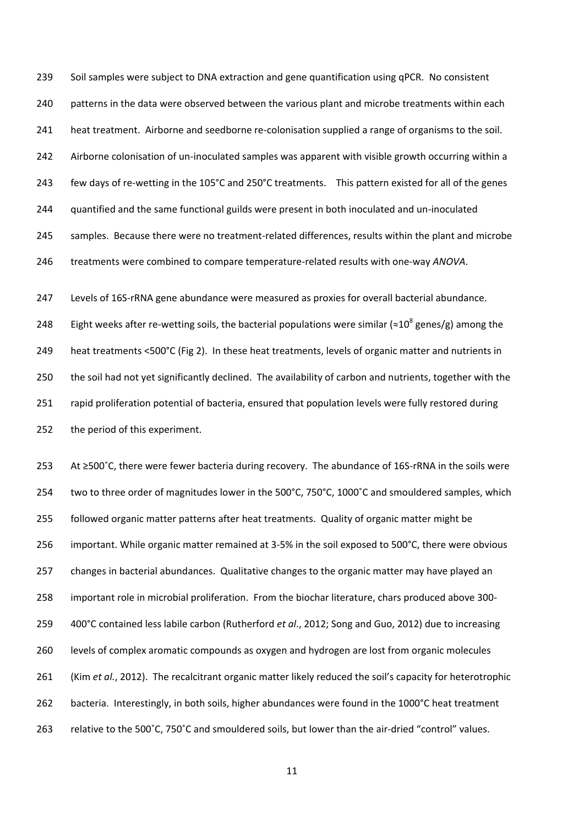Soil samples were subject to DNA extraction and gene quantification using qPCR. No consistent 240 patterns in the data were observed between the various plant and microbe treatments within each heat treatment. Airborne and seedborne re-colonisation supplied a range of organisms to the soil. Airborne colonisation of un-inoculated samples was apparent with visible growth occurring within a few days of re-wetting in the 105°C and 250°C treatments. This pattern existed for all of the genes quantified and the same functional guilds were present in both inoculated and un-inoculated samples. Because there were no treatment-related differences, results within the plant and microbe treatments were combined to compare temperature-related results with one-way *ANOVA*.

 Levels of 16S-rRNA gene abundance were measured as proxies for overall bacterial abundance. 248 Eight weeks after re-wetting soils, the bacterial populations were similar (≈10<sup>8</sup> genes/g) among the heat treatments <500°C (Fig 2). In these heat treatments, levels of organic matter and nutrients in the soil had not yet significantly declined. The availability of carbon and nutrients, together with the 251 rapid proliferation potential of bacteria, ensured that population levels were fully restored during the period of this experiment.

 At ≥500˚C, there were fewer bacteria during recovery. The abundance of 16S-rRNA in the soils were 254 two to three order of magnitudes lower in the 500°C, 750°C, 1000°C and smouldered samples, which followed organic matter patterns after heat treatments. Quality of organic matter might be important. While organic matter remained at 3-5% in the soil exposed to 500°C, there were obvious changes in bacterial abundances. Qualitative changes to the organic matter may have played an important role in microbial proliferation. From the biochar literature, chars produced above 300- 400°C contained less labile carbon (Rutherford *et al*., 2012; Song and Guo, 2012) due to increasing levels of complex aromatic compounds as oxygen and hydrogen are lost from organic molecules (Kim *et al.*, 2012). The recalcitrant organic matter likely reduced the soil's capacity for heterotrophic 262 bacteria. Interestingly, in both soils, higher abundances were found in the 1000°C heat treatment relative to the 500˚C, 750˚C and smouldered soils, but lower than the air-dried "control" values.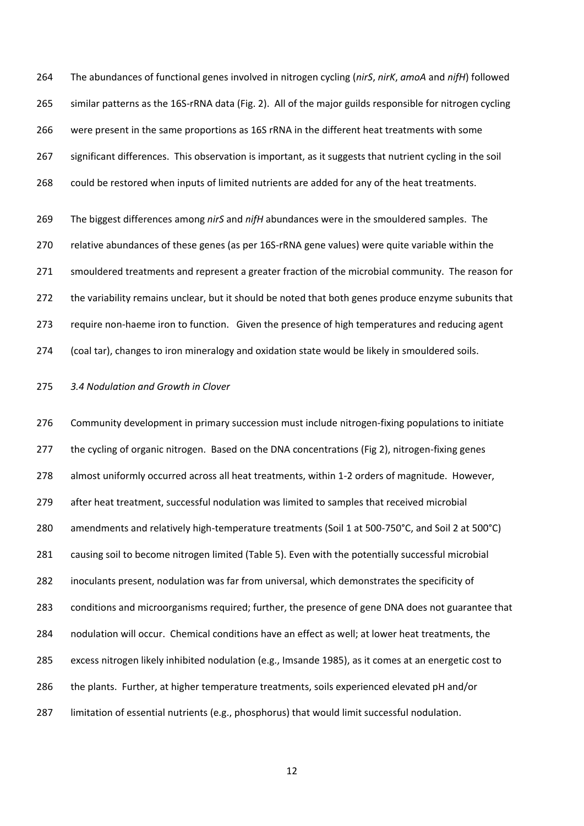The abundances of functional genes involved in nitrogen cycling (*nirS*, *nirK*, *amoA* and *nifH*) followed similar patterns as the 16S-rRNA data (Fig. 2). All of the major guilds responsible for nitrogen cycling were present in the same proportions as 16S rRNA in the different heat treatments with some significant differences. This observation is important, as it suggests that nutrient cycling in the soil could be restored when inputs of limited nutrients are added for any of the heat treatments.

 The biggest differences among *nirS* and *nifH* abundances were in the smouldered samples. The relative abundances of these genes (as per 16S-rRNA gene values) were quite variable within the smouldered treatments and represent a greater fraction of the microbial community. The reason for the variability remains unclear, but it should be noted that both genes produce enzyme subunits that require non-haeme iron to function. Given the presence of high temperatures and reducing agent (coal tar), changes to iron mineralogy and oxidation state would be likely in smouldered soils.

#### *3.4 Nodulation and Growth in Clover*

 Community development in primary succession must include nitrogen-fixing populations to initiate 277 the cycling of organic nitrogen. Based on the DNA concentrations (Fig 2), nitrogen-fixing genes almost uniformly occurred across all heat treatments, within 1-2 orders of magnitude. However, after heat treatment, successful nodulation was limited to samples that received microbial amendments and relatively high-temperature treatments (Soil 1 at 500-750°C, and Soil 2 at 500°C) causing soil to become nitrogen limited (Table 5). Even with the potentially successful microbial inoculants present, nodulation was far from universal, which demonstrates the specificity of conditions and microorganisms required; further, the presence of gene DNA does not guarantee that nodulation will occur. Chemical conditions have an effect as well; at lower heat treatments, the excess nitrogen likely inhibited nodulation (e.g., Imsande 1985), as it comes at an energetic cost to the plants. Further, at higher temperature treatments, soils experienced elevated pH and/or limitation of essential nutrients (e.g., phosphorus) that would limit successful nodulation.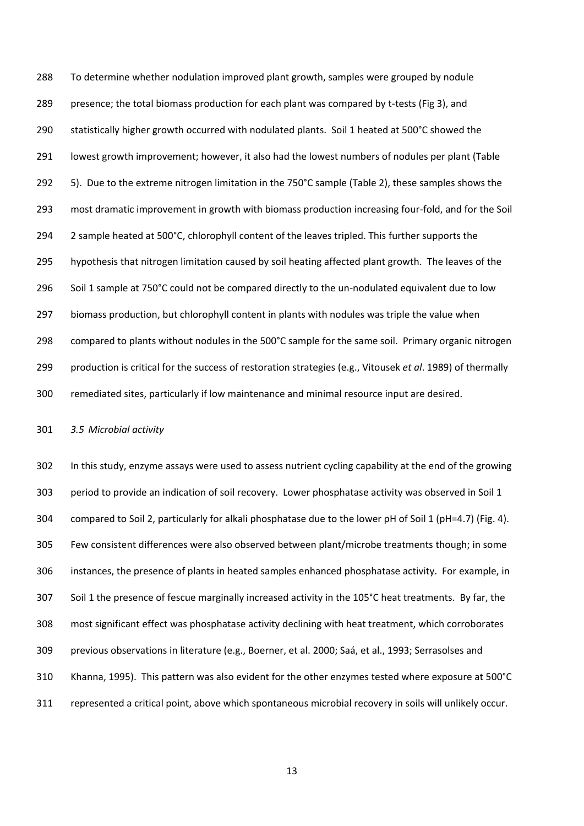To determine whether nodulation improved plant growth, samples were grouped by nodule 289 presence; the total biomass production for each plant was compared by t-tests (Fig 3), and statistically higher growth occurred with nodulated plants. Soil 1 heated at 500°C showed the lowest growth improvement; however, it also had the lowest numbers of nodules per plant (Table 5). Due to the extreme nitrogen limitation in the 750°C sample (Table 2), these samples shows the most dramatic improvement in growth with biomass production increasing four-fold, and for the Soil 294 2 sample heated at 500°C, chlorophyll content of the leaves tripled. This further supports the hypothesis that nitrogen limitation caused by soil heating affected plant growth. The leaves of the 296 Soil 1 sample at 750°C could not be compared directly to the un-nodulated equivalent due to low biomass production, but chlorophyll content in plants with nodules was triple the value when compared to plants without nodules in the 500°C sample for the same soil. Primary organic nitrogen production is critical for the success of restoration strategies (e.g., Vitousek *et al*. 1989) of thermally remediated sites, particularly if low maintenance and minimal resource input are desired.

*3.5 Microbial activity*

 In this study, enzyme assays were used to assess nutrient cycling capability at the end of the growing period to provide an indication of soil recovery. Lower phosphatase activity was observed in Soil 1 compared to Soil 2, particularly for alkali phosphatase due to the lower pH of Soil 1 (pH=4.7) (Fig. 4). Few consistent differences were also observed between plant/microbe treatments though; in some instances, the presence of plants in heated samples enhanced phosphatase activity. For example, in Soil 1 the presence of fescue marginally increased activity in the 105°C heat treatments. By far, the most significant effect was phosphatase activity declining with heat treatment, which corroborates previous observations in literature (e.g., Boerner, et al. 2000; Saá, et al., 1993; Serrasolses and Khanna, 1995). This pattern was also evident for the other enzymes tested where exposure at 500°C represented a critical point, above which spontaneous microbial recovery in soils will unlikely occur.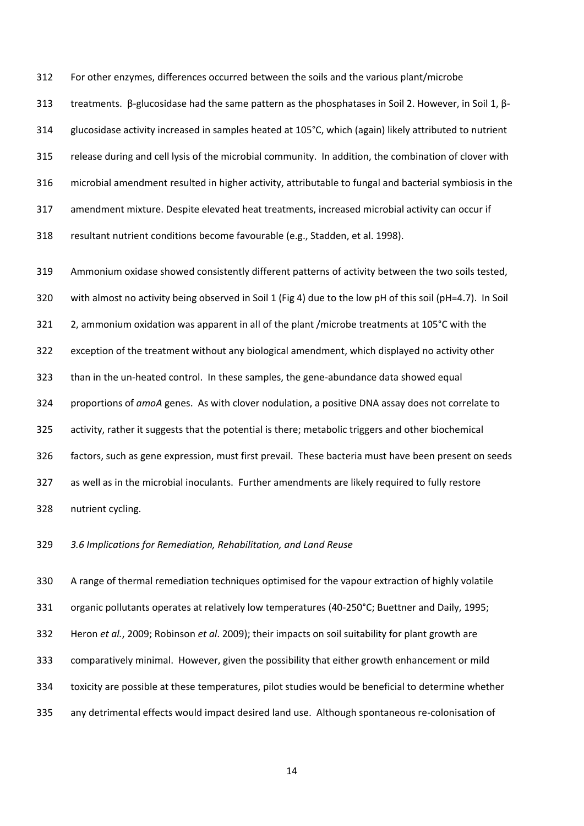For other enzymes, differences occurred between the soils and the various plant/microbe

 treatments. β-glucosidase had the same pattern as the phosphatases in Soil 2. However, in Soil 1, β- glucosidase activity increased in samples heated at 105°C, which (again) likely attributed to nutrient release during and cell lysis of the microbial community. In addition, the combination of clover with microbial amendment resulted in higher activity, attributable to fungal and bacterial symbiosis in the amendment mixture. Despite elevated heat treatments, increased microbial activity can occur if resultant nutrient conditions become favourable (e.g., Stadden, et al. 1998).

 Ammonium oxidase showed consistently different patterns of activity between the two soils tested, with almost no activity being observed in Soil 1 (Fig 4) due to the low pH of this soil (pH=4.7). In Soil 2, ammonium oxidation was apparent in all of the plant /microbe treatments at 105°C with the exception of the treatment without any biological amendment, which displayed no activity other than in the un-heated control. In these samples, the gene-abundance data showed equal proportions of *amoA* genes. As with clover nodulation, a positive DNA assay does not correlate to activity, rather it suggests that the potential is there; metabolic triggers and other biochemical factors, such as gene expression, must first prevail. These bacteria must have been present on seeds as well as in the microbial inoculants. Further amendments are likely required to fully restore nutrient cycling.

*3.6 Implications for Remediation, Rehabilitation, and Land Reuse*

 A range of thermal remediation techniques optimised for the vapour extraction of highly volatile 331 organic pollutants operates at relatively low temperatures (40-250°C; Buettner and Daily, 1995; Heron *et al.*, 2009; Robinson *et al*. 2009); their impacts on soil suitability for plant growth are comparatively minimal. However, given the possibility that either growth enhancement or mild toxicity are possible at these temperatures, pilot studies would be beneficial to determine whether any detrimental effects would impact desired land use. Although spontaneous re-colonisation of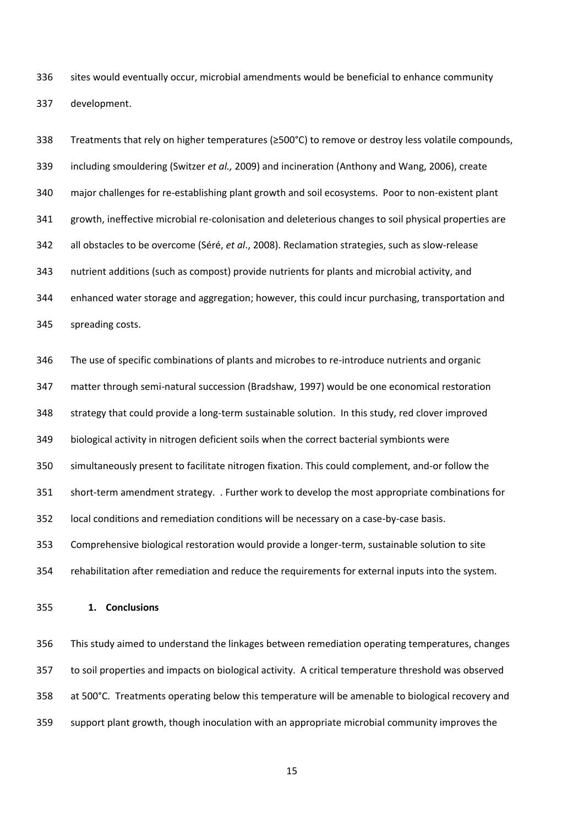sites would eventually occur, microbial amendments would be beneficial to enhance community development.

 Treatments that rely on higher temperatures (≥500°C) to remove or destroy less volatile compounds, including smouldering (Switzer *et al.,* 2009) and incineration (Anthony and Wang, 2006), create major challenges for re-establishing plant growth and soil ecosystems. Poor to non-existent plant growth, ineffective microbial re-colonisation and deleterious changes to soil physical properties are all obstacles to be overcome (Séré, *et al*., 2008). Reclamation strategies, such as slow-release nutrient additions (such as compost) provide nutrients for plants and microbial activity, and enhanced water storage and aggregation; however, this could incur purchasing, transportation and spreading costs. The use of specific combinations of plants and microbes to re-introduce nutrients and organic matter through semi-natural succession (Bradshaw, 1997) would be one economical restoration strategy that could provide a long-term sustainable solution. In this study, red clover improved biological activity in nitrogen deficient soils when the correct bacterial symbionts were simultaneously present to facilitate nitrogen fixation. This could complement, and-or follow the short-term amendment strategy. . Further work to develop the most appropriate combinations for local conditions and remediation conditions will be necessary on a case-by-case basis. Comprehensive biological restoration would provide a longer-term, sustainable solution to site

- rehabilitation after remediation and reduce the requirements for external inputs into the system.
- **1. Conclusions**

 This study aimed to understand the linkages between remediation operating temperatures, changes to soil properties and impacts on biological activity. A critical temperature threshold was observed at 500°C. Treatments operating below this temperature will be amenable to biological recovery and support plant growth, though inoculation with an appropriate microbial community improves the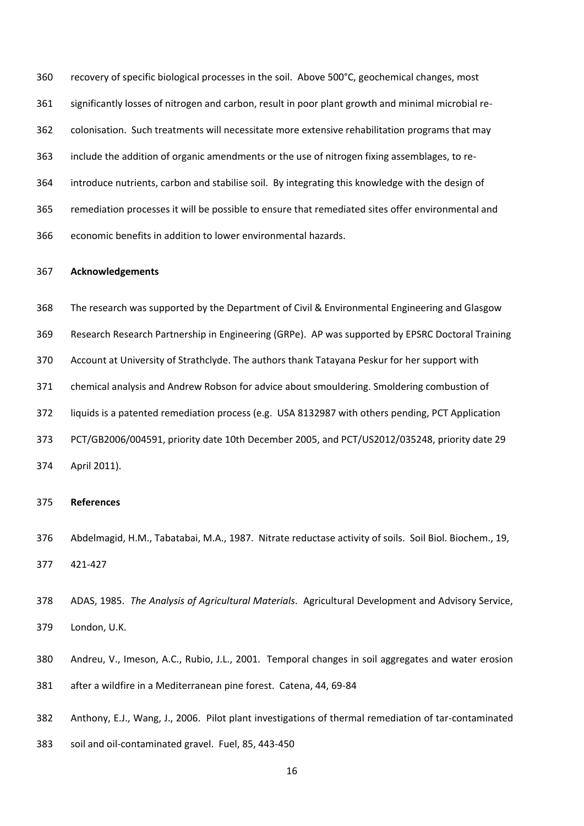recovery of specific biological processes in the soil. Above 500°C, geochemical changes, most significantly losses of nitrogen and carbon, result in poor plant growth and minimal microbial re- colonisation. Such treatments will necessitate more extensive rehabilitation programs that may include the addition of organic amendments or the use of nitrogen fixing assemblages, to re- introduce nutrients, carbon and stabilise soil. By integrating this knowledge with the design of remediation processes it will be possible to ensure that remediated sites offer environmental and economic benefits in addition to lower environmental hazards.

#### **Acknowledgements**

 The research was supported by the Department of Civil & Environmental Engineering and Glasgow Research Research Partnership in Engineering (GRPe). AP was supported by EPSRC Doctoral Training Account at University of Strathclyde. The authors thank Tatayana Peskur for her support with chemical analysis and Andrew Robson for advice about smouldering. Smoldering combustion of liquids is a patented remediation process (e.g. USA 8132987 with others pending, PCT Application PCT/GB2006/004591, priority date 10th December 2005, and PCT/US2012/035248, priority date 29 April 2011).

# **References**

- Abdelmagid, H.M., Tabatabai, M.A., 1987. Nitrate reductase activity of soils. Soil Biol. Biochem., 19, 421-427
- ADAS, 1985. *The Analysis of Agricultural Materials*. Agricultural Development and Advisory Service, London, U.K.
- Andreu, V., Imeson, A.C., Rubio, J.L., 2001. Temporal changes in soil aggregates and water erosion after a wildfire in a Mediterranean pine forest. Catena, 44, 69-84
- Anthony, E.J., Wang, J., 2006. Pilot plant investigations of thermal remediation of tar-contaminated
- soil and oil-contaminated gravel. Fuel, 85, 443-450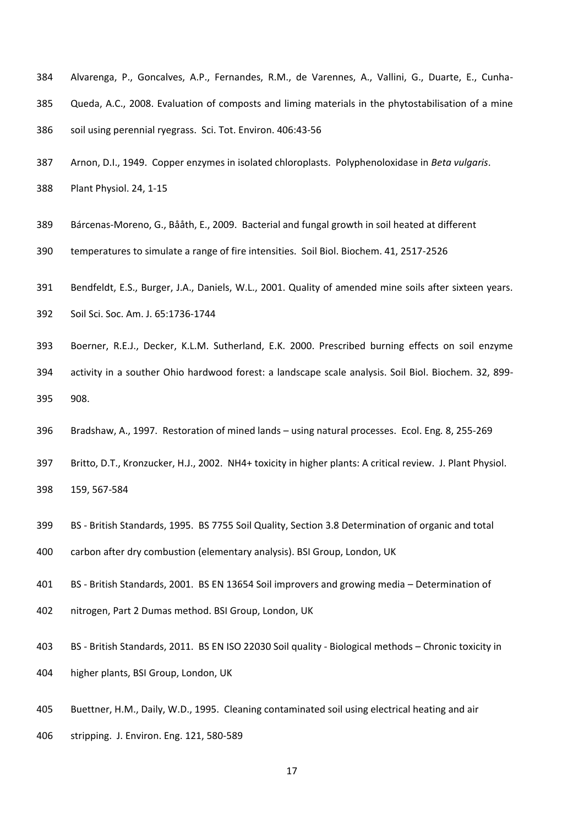- Alvarenga, P., Goncalves, A.P., Fernandes, R.M., de Varennes, A., Vallini, G., Duarte, E., Cunha- Queda, A.C., 2008. Evaluation of composts and liming materials in the phytostabilisation of a mine 386 soil using perennial ryegrass. Sci. Tot. Environ. 406:43-56
- Arnon, D.I., 1949. Copper enzymes in isolated chloroplasts. Polyphenoloxidase in *Beta vulgaris*. Plant Physiol. 24, 1-15
- Bárcenas-Moreno, G., Bååth, E., 2009. Bacterial and fungal growth in soil heated at different
- temperatures to simulate a range of fire intensities. Soil Biol. Biochem. 41, 2517-2526
- Bendfeldt, E.S., Burger, J.A., Daniels, W.L., 2001. Quality of amended mine soils after sixteen years.
- Soil Sci. Soc. Am. J. 65:1736-1744
- Boerner, R.E.J., Decker, K.L.M. Sutherland, E.K. 2000. Prescribed burning effects on soil enzyme activity in a souther Ohio hardwood forest: a landscape scale analysis. Soil Biol. Biochem. 32, 899-
- 908.
- Bradshaw, A., 1997. Restoration of mined lands using natural processes. Ecol. Eng*.* 8, 255-269
- Britto, D.T., Kronzucker, H.J., 2002. NH4+ toxicity in higher plants: A critical review. J. Plant Physiol. 159, 567-584
- BS British Standards, 1995. BS 7755 Soil Quality, Section 3.8 Determination of organic and total
- carbon after dry combustion (elementary analysis). BSI Group, London, UK
- BS British Standards, 2001. BS EN 13654 Soil improvers and growing media Determination of
- nitrogen, Part 2 Dumas method. BSI Group, London, UK
- BS British Standards, 2011. BS EN ISO 22030 Soil quality Biological methods Chronic toxicity in higher plants, BSI Group, London, UK
- Buettner, H.M., Daily, W.D., 1995. Cleaning contaminated soil using electrical heating and air
- stripping. J. Environ. Eng. 121, 580-589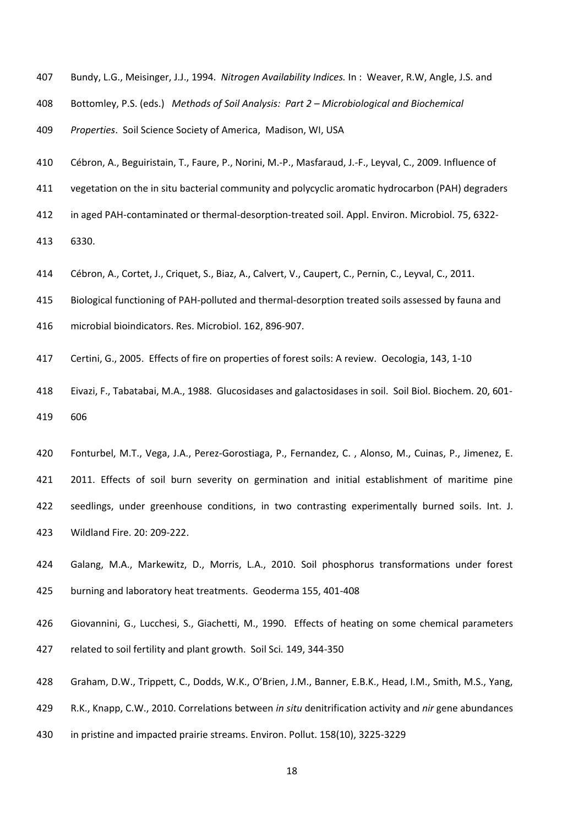- Bundy, L.G., Meisinger, J.J., 1994. *Nitrogen Availability Indices.* In : Weaver, R.W, Angle, J.S. and
- Bottomley, P.S. (eds.) *Methods of Soil Analysis: Part 2 – Microbiological and Biochemical*

*Properties*. Soil Science Society of America, Madison, WI, USA

- Cébron, A., Beguiristain, T., Faure, P., Norini, M.-P., Masfaraud, J.-F., Leyval, C., 2009. Influence of
- vegetation on the in situ bacterial community and polycyclic aromatic hydrocarbon (PAH) degraders
- in aged PAH-contaminated or thermal-desorption-treated soil. Appl. Environ. Microbiol. 75, 6322-

6330.

- Cébron, A., Cortet, J., Criquet, S., Biaz, A., Calvert, V., Caupert, C., Pernin, C., Leyval, C., 2011.
- Biological functioning of PAH-polluted and thermal-desorption treated soils assessed by fauna and
- microbial bioindicators. Res. Microbiol. 162, 896-907.
- Certini, G., 2005. Effects of fire on properties of forest soils: A review. Oecologia, 143, 1-10
- Eivazi, F., Tabatabai, M.A., 1988. Glucosidases and galactosidases in soil. Soil Biol. Biochem. 20, 601- 606
- Fonturbel, M.T., Vega, J.A., Perez-Gorostiaga, P., Fernandez, C. , Alonso, M., Cuinas, P., Jimenez, E. 2011. Effects of soil burn severity on germination and initial establishment of maritime pine seedlings, under greenhouse conditions, in two contrasting experimentally burned soils. Int. J. Wildland Fire. 20: 209-222.
- Galang, M.A., Markewitz, D., Morris, L.A., 2010. Soil phosphorus transformations under forest burning and laboratory heat treatments. Geoderma 155, 401-408
- Giovannini, G., Lucchesi, S., Giachetti, M., 1990. Effects of heating on some chemical parameters related to soil fertility and plant growth. Soil Sci*.* 149, 344-350
- Graham, D.W., Trippett, C., Dodds, W.K., O'Brien, J.M., Banner, E.B.K., Head, I.M., Smith, M.S., Yang,
- R.K., Knapp, C.W., 2010. Correlations between *in situ* denitrification activity and *nir* gene abundances
- in pristine and impacted prairie streams. Environ. Pollut. 158(10), 3225-3229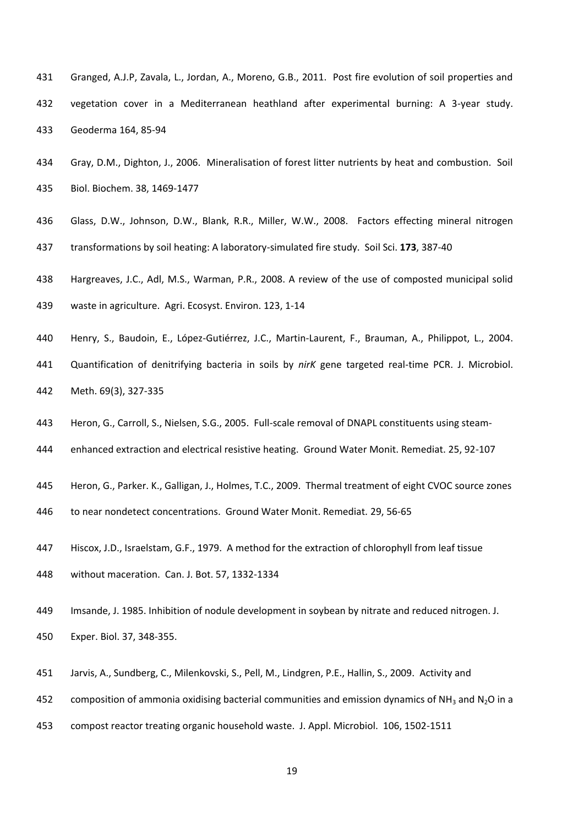- Granged, A.J.P, Zavala, L., Jordan, A., Moreno, G.B., 2011. Post fire evolution of soil properties and vegetation cover in a Mediterranean heathland after experimental burning: A 3-year study. Geoderma 164, 85-94
- Gray, D.M., Dighton, J., 2006. Mineralisation of forest litter nutrients by heat and combustion. Soil Biol. Biochem. 38, 1469-1477
- Glass, D.W., Johnson, D.W., Blank, R.R., Miller, W.W., 2008. Factors effecting mineral nitrogen transformations by soil heating: A laboratory-simulated fire study. Soil Sci. **173**, 387-40
- Hargreaves, J.C., Adl, M.S., Warman, P.R., 2008. A review of the use of composted municipal solid
- waste in agriculture. Agri. Ecosyst. Environ. 123, 1-14
- Henry, S., Baudoin, E., López-Gutiérrez, J.C., Martin-Laurent, F., Brauman, A., Philippot, L., 2004.
- Quantification of denitrifying bacteria in soils by *nirK* gene targeted real-time PCR. J. Microbiol. Meth. 69(3), 327-335
- Heron, G., Carroll, S., Nielsen, S.G., 2005. Full-scale removal of DNAPL constituents using steam-
- enhanced extraction and electrical resistive heating. Ground Water Monit. Remediat. 25, 92-107
- Heron, G., Parker. K., Galligan, J., Holmes, T.C., 2009. Thermal treatment of eight CVOC source zones
- to near nondetect concentrations. Ground Water Monit. Remediat*.* 29, 56-65
- Hiscox, J.D., Israelstam, G.F., 1979. A method for the extraction of chlorophyll from leaf tissue
- without maceration. Can. J. Bot. 57, 1332-1334
- Imsande, J. 1985. Inhibition of nodule development in soybean by nitrate and reduced nitrogen. J. Exper. Biol. 37, 348-355.
- Jarvis, A., Sundberg, C., Milenkovski, S., Pell, M., Lindgren, P.E., Hallin, S., 2009. Activity and
- 452 composition of ammonia oxidising bacterial communities and emission dynamics of NH<sub>3</sub> and N<sub>2</sub>O in a
- compost reactor treating organic household waste. J. Appl. Microbiol. 106, 1502-1511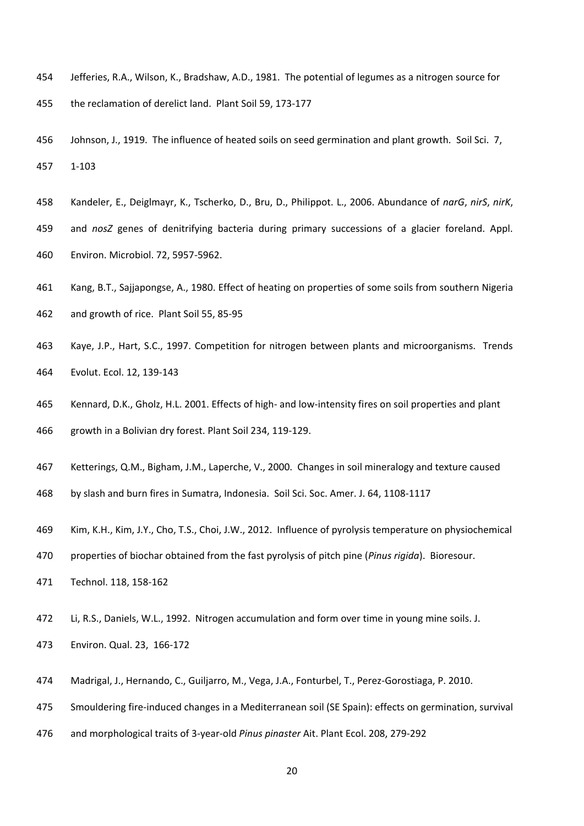- Jefferies, R.A., Wilson, K., Bradshaw, A.D., 1981. The potential of legumes as a nitrogen source for the reclamation of derelict land. Plant Soil 59, 173-177
- Johnson, J., 1919. The influence of heated soils on seed germination and plant growth*.* Soil Sci. 7, 1-103
- Kandeler, E., Deiglmayr, K., Tscherko, D., Bru, D., Philippot. L., 2006. Abundance of *narG*, *nirS*, *nirK*,
- and *nosZ* genes of denitrifying bacteria during primary successions of a glacier foreland. Appl. Environ. Microbiol. 72, 5957-5962.
- Kang, B.T., Sajjapongse, A., 1980. Effect of heating on properties of some soils from southern Nigeria
- and growth of rice. Plant Soil 55, 85-95
- Kaye, J.P., Hart, S.C., 1997. Competition for nitrogen between plants and microorganisms. Trends Evolut. Ecol. 12, 139-143
- Kennard, D.K., Gholz, H.L. 2001. Effects of high- and low-intensity fires on soil properties and plant growth in a Bolivian dry forest. Plant Soil 234, 119-129.
- Ketterings, Q.M., Bigham, J.M., Laperche, V., 2000. Changes in soil mineralogy and texture caused
- by slash and burn fires in Sumatra, Indonesia. Soil Sci. Soc. Amer. J. 64, 1108-1117
- Kim, K.H., Kim, J.Y., Cho, T.S., Choi, J.W., 2012. Influence of pyrolysis temperature on physiochemical
- properties of biochar obtained from the fast pyrolysis of pitch pine (*Pinus rigida*). Bioresour.
- Technol. 118, 158-162
- Li, R.S., Daniels, W.L., 1992. Nitrogen accumulation and form over time in young mine soils. J.
- Environ. Qual. 23, 166-172
- Madrigal, J., Hernando, C., Guiljarro, M., Vega, J.A., Fonturbel, T., Perez-Gorostiaga, P. 2010.
- Smouldering fire-induced changes in a Mediterranean soil (SE Spain): effects on germination, survival
- and morphological traits of 3-year-old *Pinus pinaster* Ait. Plant Ecol. 208, 279-292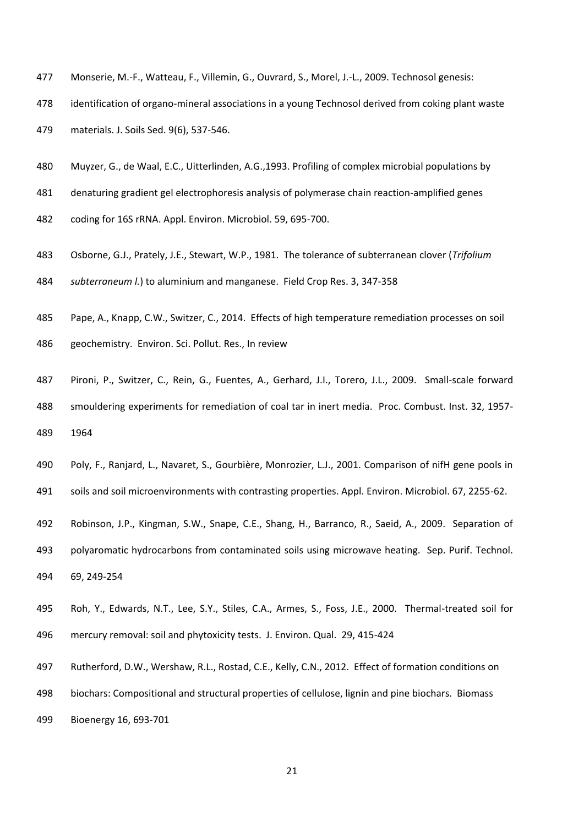- Monserie, M.-F., Watteau, F., Villemin, G., Ouvrard, S., Morel, J.-L., 2009. Technosol genesis:
- identification of organo-mineral associations in a young Technosol derived from coking plant waste

materials. J. Soils Sed. 9(6), 537-546.

- Muyzer, G., de Waal, E.C., Uitterlinden, A.G.,1993. Profiling of complex microbial populations by
- denaturing gradient gel electrophoresis analysis of polymerase chain reaction-amplified genes
- coding for 16S rRNA. Appl. Environ. Microbiol. 59, 695-700.
- Osborne, G.J., Prately, J.E., Stewart, W.P., 1981. The tolerance of subterranean clover (*Trifolium subterraneum l.*) to aluminium and manganese. Field Crop Res. 3, 347-358
- Pape, A., Knapp, C.W., Switzer, C., 2014. Effects of high temperature remediation processes on soil geochemistry. Environ. Sci. Pollut. Res., In review
- Pironi, P., Switzer, C., Rein, G., Fuentes, A., Gerhard, J.I., Torero, J.L., 2009. Small-scale forward smouldering experiments for remediation of coal tar in inert media. Proc. Combust. Inst. 32, 1957- 1964
- Poly, F., Ranjard, L., Navaret, S., Gourbière, Monrozier, L.J., 2001. Comparison of nifH gene pools in
- soils and soil microenvironments with contrasting properties. Appl. Environ. Microbiol. 67, 2255-62.
- Robinson, J.P., Kingman, S.W., Snape, C.E., Shang, H., Barranco, R., Saeid, A., 2009. Separation of
- polyaromatic hydrocarbons from contaminated soils using microwave heating. Sep. Purif. Technol. 69, 249-254
- Roh, Y., Edwards, N.T., Lee, S.Y., Stiles, C.A., Armes, S., Foss, J.E., 2000. Thermal-treated soil for mercury removal: soil and phytoxicity tests. J. Environ. Qual. 29, 415-424
- Rutherford, D.W., Wershaw, R.L., Rostad, C.E., Kelly, C.N., 2012. Effect of formation conditions on
- biochars: Compositional and structural properties of cellulose, lignin and pine biochars. Biomass
- Bioenergy 16, 693-701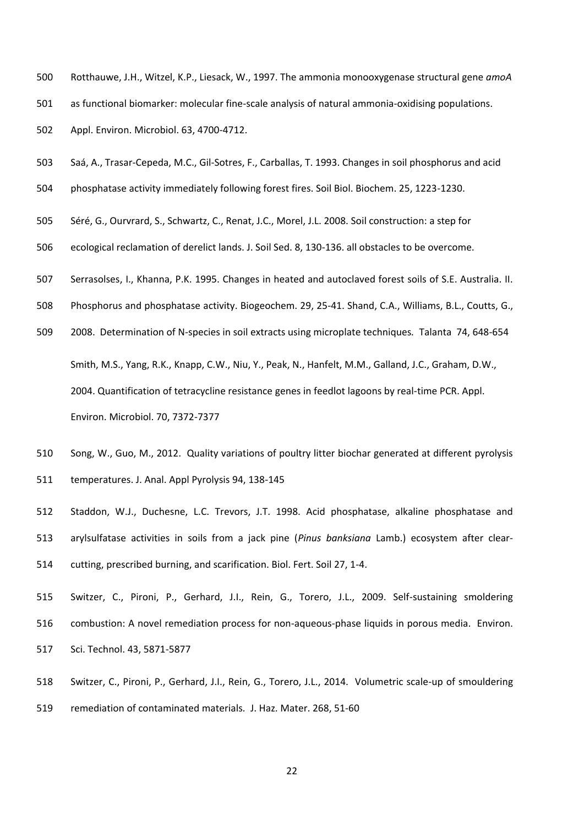Rotthauwe, J.H., Witzel, K.P., Liesack, W., 1997. The ammonia monooxygenase structural gene *amoA* as functional biomarker: molecular fine-scale analysis of natural ammonia-oxidising populations.

Appl. Environ. Microbiol. 63, 4700-4712.

- Saá, A., Trasar-Cepeda, M.C., Gil-Sotres, F., Carballas, T. 1993. Changes in soil phosphorus and acid
- phosphatase activity immediately following forest fires. Soil Biol. Biochem. 25, 1223-1230.
- Séré, G., Ourvrard, S., Schwartz, C., Renat, J.C., Morel, J.L. 2008. Soil construction: a step for
- ecological reclamation of derelict lands. J. Soil Sed. 8, 130-136. all obstacles to be overcome.
- Serrasolses, I., Khanna, P.K. 1995. Changes in heated and autoclaved forest soils of S.E. Australia. II.
- Phosphorus and phosphatase activity. Biogeochem. 29, 25-41. Shand, C.A., Williams, B.L., Coutts, G.,
- 2008. Determination of N-species in soil extracts using microplate techniques*.* Talanta 74, 648-654 Smith, M.S., Yang, R.K., Knapp, C.W., Niu, Y., Peak, N., Hanfelt, M.M., Galland, J.C., Graham, D.W., 2004. Quantification of tetracycline resistance genes in feedlot lagoons by real-time PCR. Appl. Environ. Microbiol. 70, 7372-7377
- Song, W., Guo, M., 2012. Quality variations of poultry litter biochar generated at different pyrolysis temperatures. J. Anal. Appl Pyrolysis 94, 138-145
- Staddon, W.J., Duchesne, L.C. Trevors, J.T. 1998. Acid phosphatase, alkaline phosphatase and arylsulfatase activities in soils from a jack pine (*Pinus banksiana* Lamb.) ecosystem after clear-cutting, prescribed burning, and scarification. Biol. Fert. Soil 27, 1-4.
- Switzer, C., Pironi, P., Gerhard, J.I., Rein, G., Torero, J.L., 2009. Self-sustaining smoldering combustion: A novel remediation process for non-aqueous-phase liquids in porous media. Environ. Sci. Technol. 43, 5871-5877
- Switzer, C., Pironi, P., Gerhard, J.I., Rein, G., Torero, J.L., 2014. Volumetric scale-up of smouldering
- remediation of contaminated materials*.* J. Haz. Mater. 268, 51-60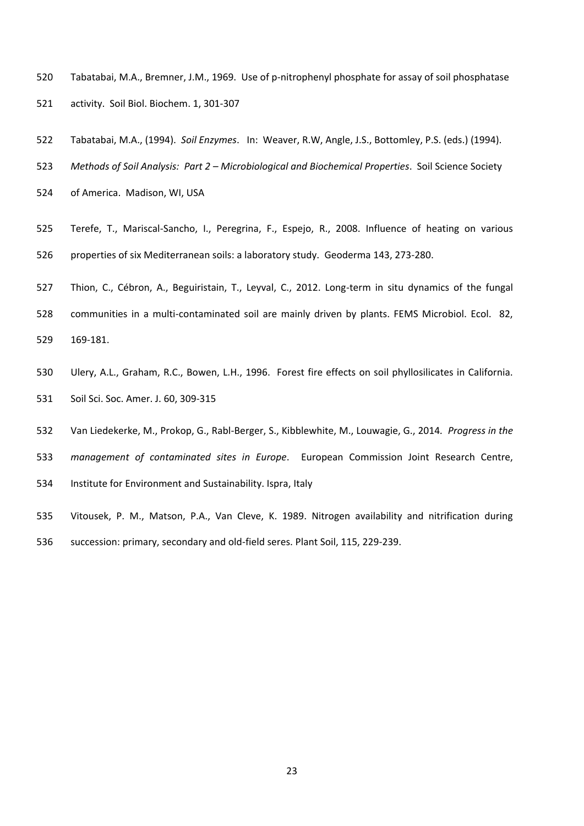- Tabatabai, M.A., Bremner, J.M., 1969. Use of p-nitrophenyl phosphate for assay of soil phosphatase activity. Soil Biol. Biochem. 1, 301-307
- Tabatabai, M.A., (1994). *Soil Enzymes*. In: Weaver, R.W, Angle, J.S., Bottomley, P.S. (eds.) (1994).
- *Methods of Soil Analysis: Part 2 – Microbiological and Biochemical Properties*. Soil Science Society
- of America. Madison, WI, USA
- Terefe, T., Mariscal-Sancho, I., Peregrina, F., Espejo, R., 2008. Influence of heating on various properties of six Mediterranean soils: a laboratory study. Geoderma 143, 273-280.
- Thion, C., Cébron, A., Beguiristain, T., Leyval, C., 2012. Long-term in situ dynamics of the fungal
- communities in a multi-contaminated soil are mainly driven by plants. FEMS Microbiol. Ecol. 82, 169-181.
- Ulery, A.L., Graham, R.C., Bowen, L.H., 1996. Forest fire effects on soil phyllosilicates in California. Soil Sci. Soc. Amer. J. 60, 309-315
- Van Liedekerke, M., Prokop, G., Rabl-Berger, S., Kibblewhite, M., Louwagie, G., 2014*. Progress in the*
- *management of contaminated sites in Europe*. European Commission Joint Research Centre,
- Institute for Environment and Sustainability. Ispra, Italy
- Vitousek, P. M., Matson, P.A., Van Cleve, K. 1989. Nitrogen availability and nitrification during succession: primary, secondary and old-field seres. Plant Soil, 115, 229-239.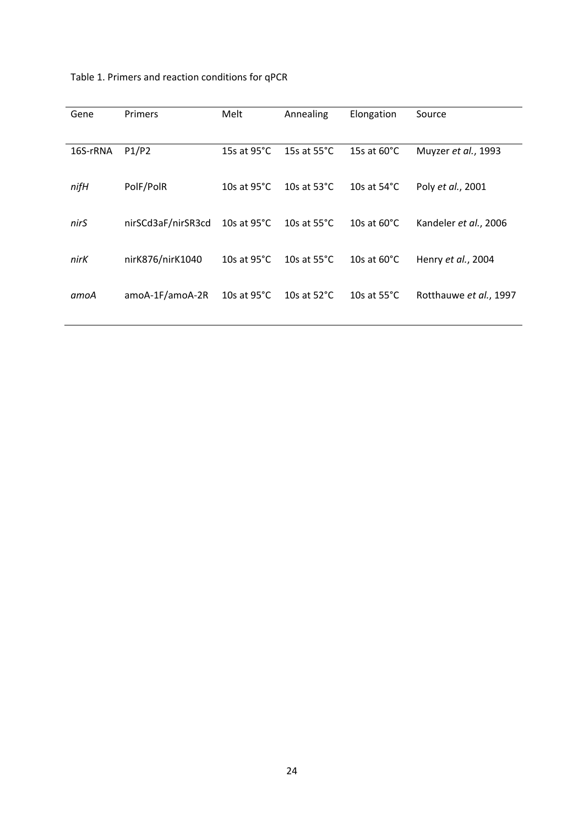| Table 1. Primers and reaction conditions for qPCR |  |  |  |
|---------------------------------------------------|--|--|--|
|---------------------------------------------------|--|--|--|

| Gene     | <b>Primers</b>     | Melt                  | Annealing             | Elongation            | Source                 |
|----------|--------------------|-----------------------|-----------------------|-----------------------|------------------------|
| 16S-rRNA | P1/P2              | 15s at $95^{\circ}$ C | 15s at $55^{\circ}$ C | 15s at $60^{\circ}$ C | Muyzer et al., 1993    |
| nifH     | PolF/PolR          | 10s at $95^{\circ}$ C | 10s at $53^{\circ}$ C | 10s at $54^{\circ}$ C | Poly et al., 2001      |
| nirS     | nirSCd3aF/nirSR3cd | 10s at $95^{\circ}$ C | 10s at $55^{\circ}$ C | 10s at $60^{\circ}$ C | Kandeler et al., 2006  |
| nirK     | nirK876/nirK1040   | 10s at $95^{\circ}$ C | 10s at $55^{\circ}$ C | 10s at $60^{\circ}$ C | Henry et al., 2004     |
| amoA     | amoA-1F/amoA-2R    | 10s at $95^{\circ}$ C | 10s at $52^{\circ}$ C | 10s at $55^{\circ}$ C | Rotthauwe et al., 1997 |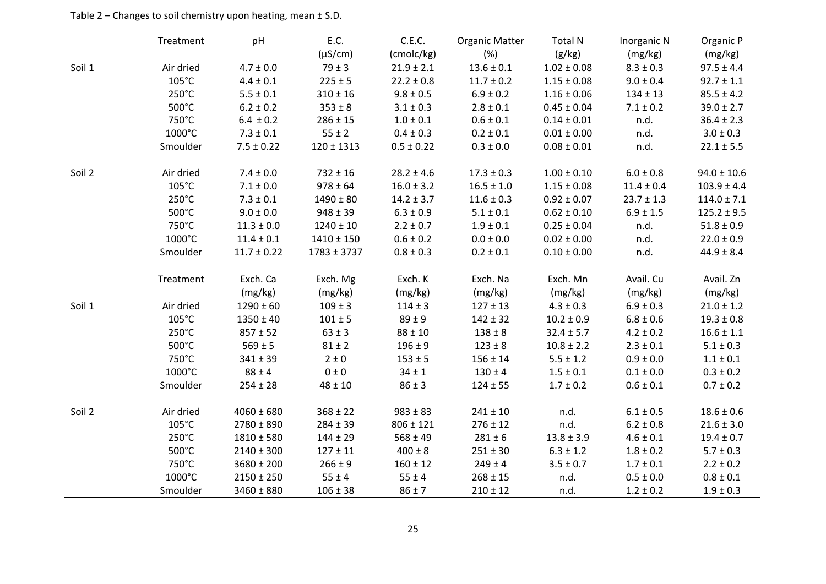|        | Treatment       | pH              | E.C.            | C.E.C.         | <b>Organic Matter</b> | <b>Total N</b>  | Inorganic N    | Organic P       |
|--------|-----------------|-----------------|-----------------|----------------|-----------------------|-----------------|----------------|-----------------|
|        |                 |                 | $(\mu S/cm)$    | (cmolc/kg)     | (%)                   | (g/kg)          | (mg/kg)        | (mg/kg)         |
| Soil 1 | Air dried       | $4.7 \pm 0.0$   | $79 \pm 3$      | $21.9 \pm 2.1$ | $13.6 \pm 0.1$        | $1.02 \pm 0.08$ | $8.3 \pm 0.3$  | $97.5 \pm 4.4$  |
|        | $105^{\circ}$ C | $4.4 \pm 0.1$   | $225 \pm 5$     | $22.2 \pm 0.8$ | $11.7 \pm 0.2$        | $1.15 \pm 0.08$ | $9.0 \pm 0.4$  | $92.7 \pm 1.1$  |
|        | 250°C           | $5.5 \pm 0.1$   | $310 \pm 16$    | $9.8 \pm 0.5$  | $6.9 \pm 0.2$         | $1.16 \pm 0.06$ | $134 \pm 13$   | $85.5 \pm 4.2$  |
|        | 500°C           | $6.2 \pm 0.2$   | $353 \pm 8$     | $3.1 \pm 0.3$  | $2.8\pm0.1$           | $0.45 \pm 0.04$ | $7.1 \pm 0.2$  | $39.0 \pm 2.7$  |
|        | 750°C           | $6.4 \pm 0.2$   | $286 \pm 15$    | $1.0\pm0.1$    | $0.6 \pm 0.1$         | $0.14 \pm 0.01$ | n.d.           | $36.4 \pm 2.3$  |
|        | 1000°C          | $7.3 \pm 0.1$   | $55 \pm 2$      | $0.4 \pm 0.3$  | $0.2 \pm 0.1$         | $0.01 \pm 0.00$ | n.d.           | $3.0 \pm 0.3$   |
|        | Smoulder        | $7.5 \pm 0.22$  | $120 \pm 1313$  | $0.5 \pm 0.22$ | $0.3 \pm 0.0$         | $0.08 \pm 0.01$ | n.d.           | $22.1 \pm 5.5$  |
| Soil 2 | Air dried       | $7.4 \pm 0.0$   | $732 \pm 16$    | $28.2 \pm 4.6$ | $17.3 \pm 0.3$        | $1.00 \pm 0.10$ | $6.0\pm0.8$    | $94.0 \pm 10.6$ |
|        | $105^{\circ}$ C | $7.1 \pm 0.0$   | $978 \pm 64$    | $16.0 \pm 3.2$ | $16.5 \pm 1.0$        | $1.15 \pm 0.08$ | $11.4 \pm 0.4$ | $103.9 \pm 4.4$ |
|        | 250°C           | $7.3 \pm 0.1$   | $1490 \pm 80$   | $14.2 \pm 3.7$ | $11.6 \pm 0.3$        | $0.92 \pm 0.07$ | $23.7 \pm 1.3$ | $114.0 \pm 7.1$ |
|        | 500°C           | $9.0\pm0.0$     | $948 \pm 39$    | $6.3 \pm 0.9$  | $5.1\pm0.1$           | $0.62 \pm 0.10$ | $6.9 \pm 1.5$  | $125.2 \pm 9.5$ |
|        | 750°C           | $11.3 \pm 0.0$  | $1240 \pm 10$   | $2.2 \pm 0.7$  | $1.9 \pm 0.1$         | $0.25 \pm 0.04$ | n.d.           | $51.8 \pm 0.9$  |
|        | 1000°C          | $11.4 \pm 0.1$  | $1410 \pm 150$  | $0.6 \pm 0.2$  | $0.0 \pm 0.0$         | $0.02 \pm 0.00$ | n.d.           | $22.0 \pm 0.9$  |
|        | Smoulder        | $11.7 \pm 0.22$ | $1783 \pm 3737$ | $0.8 \pm 0.3$  | $0.2 \pm 0.1$         | $0.10 \pm 0.00$ | n.d.           | $44.9 \pm 8.4$  |
|        |                 |                 |                 |                |                       |                 |                |                 |
|        | Treatment       | Exch. Ca        | Exch. Mg        | Exch. K        | Exch. Na              | Exch. Mn        | Avail. Cu      | Avail. Zn       |
|        |                 | (mg/kg)         | (mg/kg)         | (mg/kg)        | (mg/kg)               | (mg/kg)         | (mg/kg)        | (mg/kg)         |
| Soil 1 | Air dried       | $1290 \pm 60$   | $109 \pm 3$     | $114 \pm 3$    | $127 \pm 13$          | $4.3 \pm 0.3$   | $6.9 \pm 0.3$  | $21.0 \pm 1.2$  |
|        | $105^{\circ}$ C | $1350 \pm 40$   | $101 \pm 5$     | $89 \pm 9$     | $142 \pm 32$          | $10.2 \pm 0.9$  | $6.8 \pm 0.6$  | $19.3 \pm 0.8$  |
|        | 250°C           | $857 \pm 52$    | $63 \pm 3$      | $88 \pm 10$    | $138 \pm 8$           | $32.4 \pm 5.7$  | $4.2 \pm 0.2$  | $16.6 \pm 1.1$  |
|        | 500°C           | $569 \pm 5$     | $81 \pm 2$      | $196 \pm 9$    | $123 \pm 8$           | $10.8 \pm 2.2$  | $2.3 \pm 0.1$  | $5.1 \pm 0.3$   |
|        | 750°C           | $341 \pm 39$    | $2 \pm 0$       | $153 \pm 5$    | $156 \pm 14$          | $5.5 \pm 1.2$   | $0.9 \pm 0.0$  | $1.1 \pm 0.1$   |
|        | 1000°C          | $88 \pm 4$      | $0\pm0$         | $34 \pm 1$     | $130 \pm 4$           | $1.5 \pm 0.1$   | $0.1 \pm 0.0$  | $0.3 \pm 0.2$   |
|        | Smoulder        | $254 \pm 28$    | $48 \pm 10$     | $86 \pm 3$     | $124 \pm 55$          | $1.7 \pm 0.2$   | $0.6 \pm 0.1$  | $0.7 \pm 0.2$   |
| Soil 2 | Air dried       | $4060 \pm 680$  | $368 \pm 22$    | $983 \pm 83$   | $241 \pm 10$          | n.d.            | $6.1 \pm 0.5$  | $18.6 \pm 0.6$  |
|        | $105^{\circ}$ C | $2780 \pm 890$  | $284 \pm 39$    | $806 \pm 121$  | $276 \pm 12$          | n.d.            | $6.2 \pm 0.8$  | $21.6 \pm 3.0$  |
|        | $250^{\circ}$ C | $1810 \pm 580$  | $144 \pm 29$    | $568 \pm 49$   | $281 \pm 6$           | $13.8 \pm 3.9$  | $4.6 \pm 0.1$  | $19.4 \pm 0.7$  |
|        | 500°C           | $2140 \pm 300$  | $127\pm11$      | $400 \pm 8$    | $251 \pm 30$          | $6.3 \pm 1.2$   | $1.8 \pm 0.2$  | $5.7 \pm 0.3$   |
|        | 750°C           | $3680 \pm 200$  | $266 \pm 9$     | $160 \pm 12$   | $249 \pm 4$           | $3.5 \pm 0.7$   | $1.7 \pm 0.1$  | $2.2 \pm 0.2$   |
|        | 1000°C          | $2150 \pm 250$  | $55 \pm 4$      | $55 \pm 4$     | $268 \pm 15$          | n.d.            | $0.5 \pm 0.0$  | $0.8 \pm 0.1$   |
|        | Smoulder        | $3460 \pm 880$  | $106 \pm 38$    | $86 \pm 7$     | $210 \pm 12$          | n.d.            | $1.2 \pm 0.2$  | $1.9 \pm 0.3$   |

Table 2 – Changes to soil chemistry upon heating, mean ± S.D.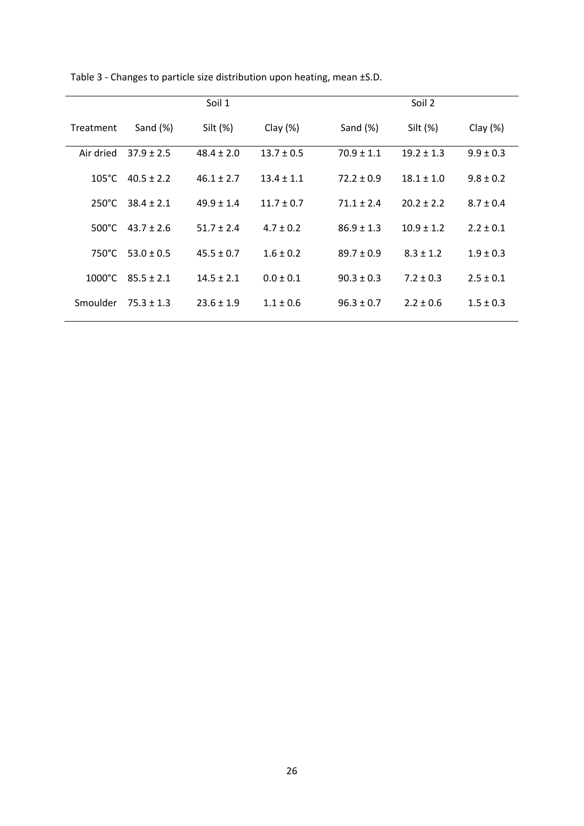|                  |                | Soil 1         |                |                | Soil 2         |               |
|------------------|----------------|----------------|----------------|----------------|----------------|---------------|
| Treatment        | Sand $(\%)$    | Silt (%)       | Clay $(\%)$    | Sand $(\%)$    | Silt (%)       | Clay $(\%)$   |
| Air dried        | $37.9 \pm 2.5$ | $48.4 \pm 2.0$ | $13.7 \pm 0.5$ | $70.9 \pm 1.1$ | $19.2 \pm 1.3$ | $9.9 \pm 0.3$ |
| $105^{\circ}$ C  | $40.5 + 2.2$   | $46.1 + 2.7$   | $13.4 + 1.1$   | $72.2 \pm 0.9$ | $18.1 \pm 1.0$ | $9.8 \pm 0.2$ |
| $250^{\circ}$ C  | $38.4 \pm 2.1$ | $49.9 \pm 1.4$ | $11.7 \pm 0.7$ | $71.1 \pm 2.4$ | $20.2 \pm 2.2$ | $8.7 \pm 0.4$ |
| $500^{\circ}$ C  | $43.7 \pm 2.6$ | $51.7 + 2.4$   | $4.7 + 0.2$    | $86.9 \pm 1.3$ | $10.9 \pm 1.2$ | $2.2 \pm 0.1$ |
| $750^{\circ}$ C  | $53.0 \pm 0.5$ | $45.5 \pm 0.7$ | $1.6 \pm 0.2$  | $89.7 \pm 0.9$ | $8.3 \pm 1.2$  | $1.9 \pm 0.3$ |
| $1000^{\circ}$ C | $85.5 \pm 2.1$ | $14.5 \pm 2.1$ | $0.0 \pm 0.1$  | $90.3 \pm 0.3$ | $7.2 \pm 0.3$  | $2.5 \pm 0.1$ |
| Smoulder         | $75.3 \pm 1.3$ | $23.6 \pm 1.9$ | $1.1 \pm 0.6$  | $96.3 \pm 0.7$ | $2.2 \pm 0.6$  | $1.5 \pm 0.3$ |

Table 3 - Changes to particle size distribution upon heating, mean ±S.D.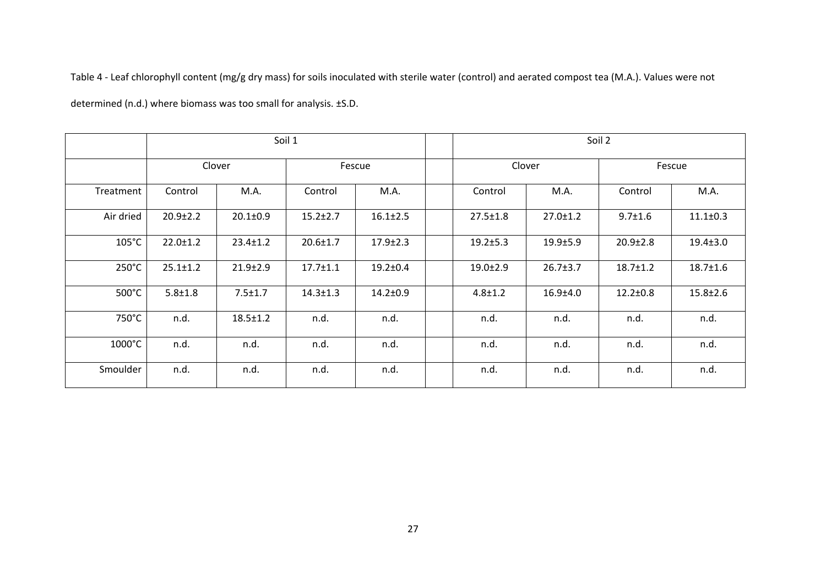Table 4 - Leaf chlorophyll content (mg/g dry mass) for soils inoculated with sterile water (control) and aerated compost tea (M.A.). Values were not

determined (n.d.) where biomass was too small for analysis. ±S.D.

|                 | Soil 1         |                  |                |                |        | Soil 2         |                |                |                |
|-----------------|----------------|------------------|----------------|----------------|--------|----------------|----------------|----------------|----------------|
|                 |                | Clover<br>Fescue |                |                | Clover |                | Fescue         |                |                |
| Treatment       | Control        | M.A.             | Control        | M.A.           |        | Control        | M.A.           | Control        | M.A.           |
| Air dried       | $20.9 \pm 2.2$ | $20.1 \pm 0.9$   | $15.2 \pm 2.7$ | $16.1 \pm 2.5$ |        | $27.5 \pm 1.8$ | $27.0 \pm 1.2$ | $9.7 \pm 1.6$  | $11.1 \pm 0.3$ |
| $105^{\circ}$ C | $22.0 \pm 1.2$ | $23.4 \pm 1.2$   | $20.6 \pm 1.7$ | $17.9 \pm 2.3$ |        | $19.2 \pm 5.3$ | $19.9 \pm 5.9$ | $20.9 \pm 2.8$ | $19.4 \pm 3.0$ |
| $250^{\circ}$ C | $25.1 \pm 1.2$ | $21.9 \pm 2.9$   | $17.7 \pm 1.1$ | $19.2 \pm 0.4$ |        | $19.0 \pm 2.9$ | $26.7 \pm 3.7$ | $18.7 \pm 1.2$ | $18.7 \pm 1.6$ |
| 500°C           | $5.8 + 1.8$    | $7.5 \pm 1.7$    | $14.3 \pm 1.3$ | $14.2 \pm 0.9$ |        | $4.8 \pm 1.2$  | $16.9{\pm}4.0$ | $12.2 \pm 0.8$ | $15.8 \pm 2.6$ |
| 750°C           | n.d.           | $18.5 \pm 1.2$   | n.d.           | n.d.           |        | n.d.           | n.d.           | n.d.           | n.d.           |
| 1000°C          | n.d.           | n.d.             | n.d.           | n.d.           |        | n.d.           | n.d.           | n.d.           | n.d.           |
| Smoulder        | n.d.           | n.d.             | n.d.           | n.d.           |        | n.d.           | n.d.           | n.d.           | n.d.           |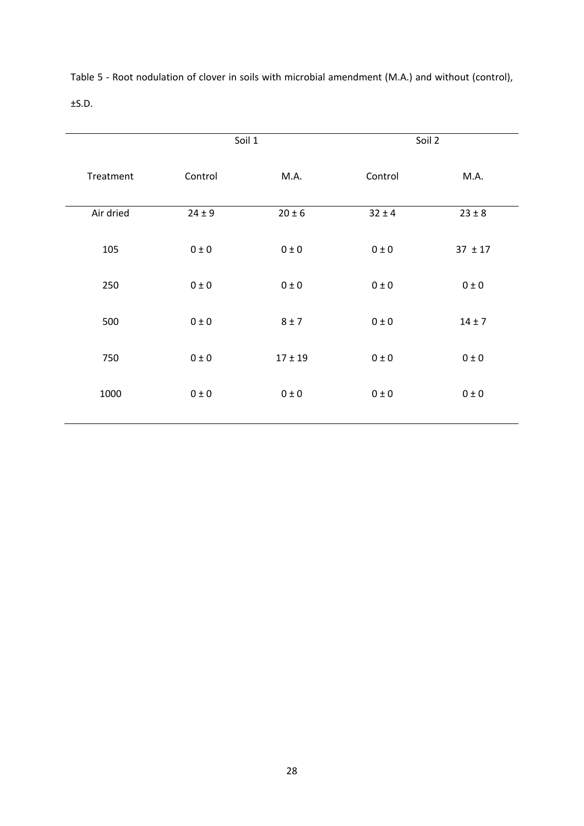|           |            | Soil 1      |            | Soil 2      |
|-----------|------------|-------------|------------|-------------|
| Treatment | Control    | M.A.        | Control    | M.A.        |
| Air dried | $24 \pm 9$ | $20 \pm 6$  | $32 \pm 4$ | $23 \pm 8$  |
| 105       | $0\pm0$    | $0 \pm 0$   | $0 \pm 0$  | $37 \pm 17$ |
| 250       | $0\pm0$    | $0 \pm 0$   | $0 \pm 0$  | $0 \pm 0$   |
| 500       | $0\pm0$    | $8 \pm 7$   | $0\pm0$    | $14 \pm 7$  |
| 750       | $0\pm0$    | $17 \pm 19$ | $0\pm0$    | $0 \pm 0$   |
| 1000      | $0\pm0$    | $0 \pm 0$   | $0\pm0$    | $0\pm0$     |

Table 5 - Root nodulation of clover in soils with microbial amendment (M.A.) and without (control), ±S.D.